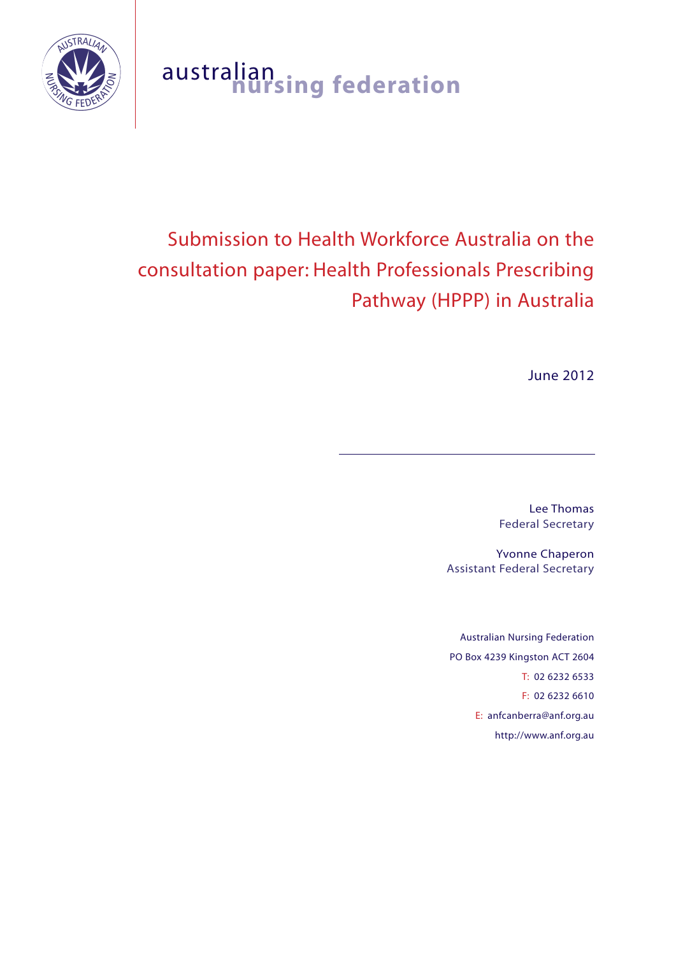

## australian **nursing federation**

# Submission to Health Workforce Australia on the consultation paper: Health Professionals Prescribing Pathway (HPPP) in Australia

June 2012

Lee Thomas Federal Secretary

Yvonne Chaperon Assistant Federal Secretary

Australian Nursing Federation PO Box 4239 Kingston ACT 2604 T: 02 6232 6533 F: 02 6232 6610 E: anfcanberra@anf.org.au http://www.anf.org.au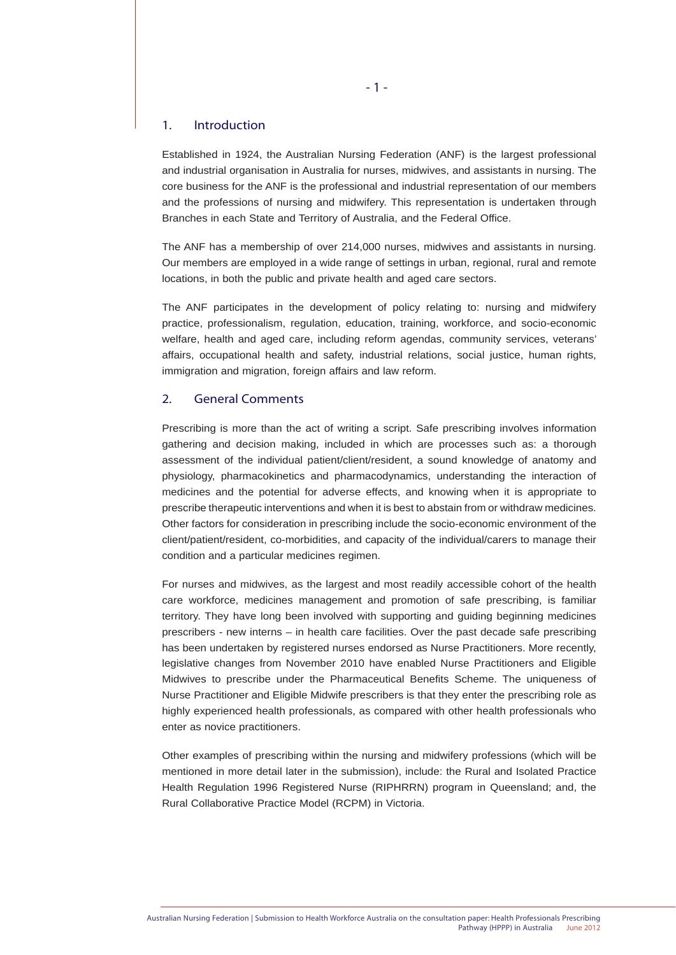#### 1. Introduction

Established in 1924, the Australian Nursing Federation (ANF) is the largest professional and industrial organisation in Australia for nurses, midwives, and assistants in nursing. The core business for the ANF is the professional and industrial representation of our members and the professions of nursing and midwifery. This representation is undertaken through Branches in each State and Territory of Australia, and the Federal Office.

The ANF has a membership of over 214,000 nurses, midwives and assistants in nursing. Our members are employed in a wide range of settings in urban, regional, rural and remote locations, in both the public and private health and aged care sectors.

The ANF participates in the development of policy relating to: nursing and midwifery practice, professionalism, regulation, education, training, workforce, and socio-economic welfare, health and aged care, including reform agendas, community services, veterans' affairs, occupational health and safety, industrial relations, social justice, human rights, immigration and migration, foreign affairs and law reform.

#### 2. General Comments

Prescribing is more than the act of writing a script. Safe prescribing involves information gathering and decision making, included in which are processes such as: a thorough assessment of the individual patient/client/resident, a sound knowledge of anatomy and physiology, pharmacokinetics and pharmacodynamics, understanding the interaction of medicines and the potential for adverse effects, and knowing when it is appropriate to prescribe therapeutic interventions and when it is best to abstain from or withdraw medicines. Other factors for consideration in prescribing include the socio-economic environment of the client/patient/resident, co-morbidities, and capacity of the individual/carers to manage their condition and a particular medicines regimen.

For nurses and midwives, as the largest and most readily accessible cohort of the health care workforce, medicines management and promotion of safe prescribing, is familiar territory. They have long been involved with supporting and guiding beginning medicines prescribers - new interns – in health care facilities. Over the past decade safe prescribing has been undertaken by registered nurses endorsed as Nurse Practitioners. More recently, legislative changes from November 2010 have enabled Nurse Practitioners and Eligible Midwives to prescribe under the Pharmaceutical Benefits Scheme. The uniqueness of Nurse Practitioner and Eligible Midwife prescribers is that they enter the prescribing role as highly experienced health professionals, as compared with other health professionals who enter as novice practitioners.

Other examples of prescribing within the nursing and midwifery professions (which will be mentioned in more detail later in the submission), include: the Rural and Isolated Practice Health Regulation 1996 Registered Nurse (RIPHRRN) program in Queensland; and, the Rural Collaborative Practice Model (RCPM) in Victoria.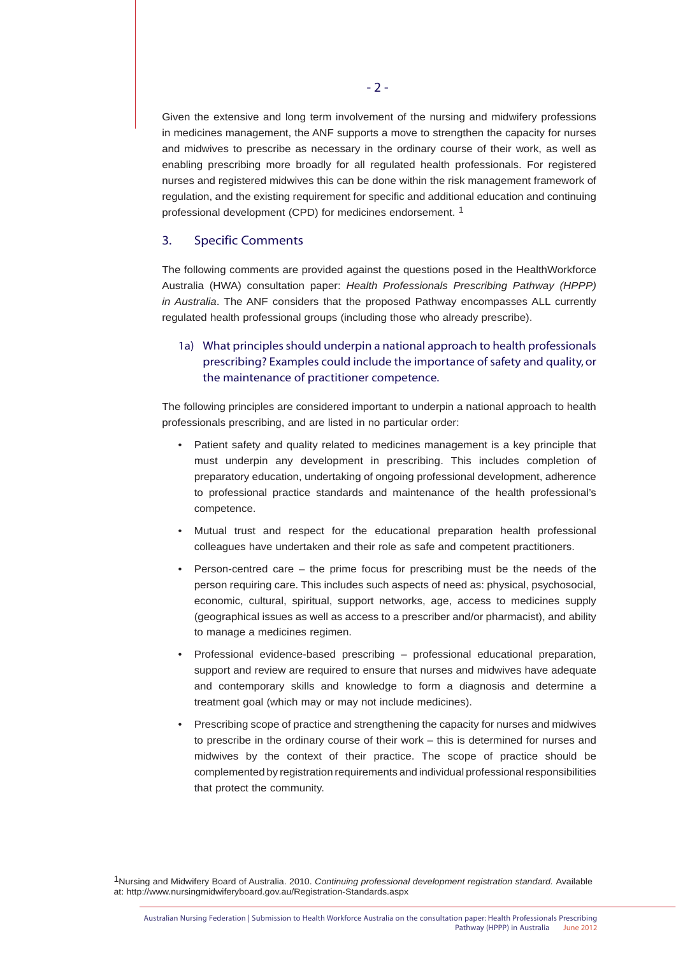Given the extensive and long term involvement of the nursing and midwifery professions in medicines management, the ANF supports a move to strengthen the capacity for nurses and midwives to prescribe as necessary in the ordinary course of their work, as well as enabling prescribing more broadly for all regulated health professionals. For registered nurses and registered midwives this can be done within the risk management framework of regulation, and the existing requirement for specific and additional education and continuing professional development (CPD) for medicines endorsement. 1

#### 3. Specific Comments

The following comments are provided against the questions posed in the HealthWorkforce Australia (HWA) consultation paper: *Health Professionals Prescribing Pathway (HPPP) in Australia*. The ANF considers that the proposed Pathway encompasses ALL currently regulated health professional groups (including those who already prescribe).

1a) What principles should underpin a national approach to health professionals prescribing? Examples could include the importance of safety and quality, or the maintenance of practitioner competence.

The following principles are considered important to underpin a national approach to health professionals prescribing, and are listed in no particular order:

- Patient safety and quality related to medicines management is a key principle that must underpin any development in prescribing. This includes completion of preparatory education, undertaking of ongoing professional development, adherence to professional practice standards and maintenance of the health professional's competence.
- Mutual trust and respect for the educational preparation health professional colleagues have undertaken and their role as safe and competent practitioners.
- Person-centred care  $-$  the prime focus for prescribing must be the needs of the person requiring care. This includes such aspects of need as: physical, psychosocial, economic, cultural, spiritual, support networks, age, access to medicines supply (geographical issues as well as access to a prescriber and/or pharmacist), and ability to manage a medicines regimen.
- Professional evidence-based prescribing professional educational preparation, support and review are required to ensure that nurses and midwives have adequate and contemporary skills and knowledge to form a diagnosis and determine a treatment goal (which may or may not include medicines).
- Prescribing scope of practice and strengthening the capacity for nurses and midwives to prescribe in the ordinary course of their work – this is determined for nurses and midwives by the context of their practice. The scope of practice should be complemented by registration requirements and individual professional responsibilities that protect the community.

1Nursing and Midwifery Board of Australia. 2010. *Continuing professional development registration standard.* Available at: http://www.nursingmidwiferyboard.gov.au/Registration-Standards.aspx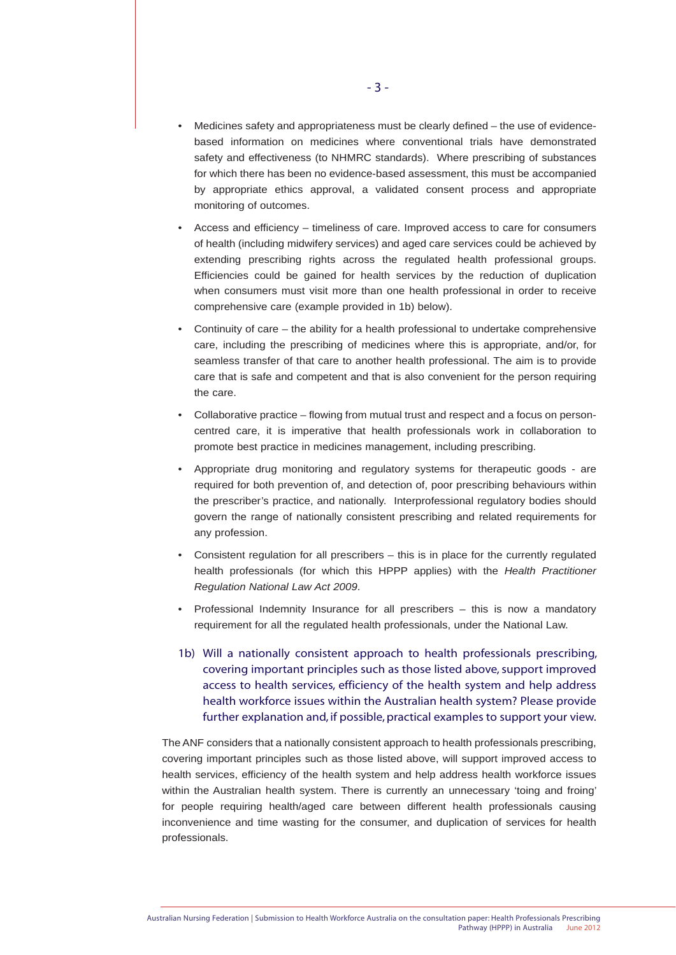- Medicines safety and appropriateness must be clearly defined the use of evidence based information on medicines where conventional trials have demonstrated safety and effectiveness (to NHMRC standards). Where prescribing of substances for which there has been no evidence-based assessment, this must be accompanied by appropriate ethics approval, a validated consent process and appropriate monitoring of outcomes.
- Access and efficiency timeliness of care. Improved access to care for consumers of health (including midwifery services) and aged care services could be achieved by extending prescribing rights across the regulated health professional groups. Efficiencies could be gained for health services by the reduction of duplication when consumers must visit more than one health professional in order to receive comprehensive care (example provided in 1b) below).
- Continuity of care the ability for a health professional to undertake comprehensive care, including the prescribing of medicines where this is appropriate, and/or, for seamless transfer of that care to another health professional. The aim is to provide care that is safe and competent and that is also convenient for the person requiring the care.
- Collaborative practice flowing from mutual trust and respect and a focus on person centred care, it is imperative that health professionals work in collaboration to promote best practice in medicines management, including prescribing.
- Appropriate drug monitoring and regulatory systems for therapeutic goods are required for both prevention of, and detection of, poor prescribing behaviours within the prescriber's practice, and nationally. Interprofessional regulatory bodies should govern the range of nationally consistent prescribing and related requirements for any profession.
- Consistent regulation for all prescribers this is in place for the currently regulated health professionals (for which this HPPP applies) with the *Health Practitioner Regulation National Law Act 2009*.
- Professional Indemnity Insurance for all prescribers this is now a mandatory requirement for all the regulated health professionals, under the National Law.
- 1b) Will a nationally consistent approach to health professionals prescribing, covering important principles such as those listed above, support improved access to health services, efficiency of the health system and help address health workforce issues within the Australian health system? Please provide further explanation and, if possible, practical examples to support your view.

The ANF considers that a nationally consistent approach to health professionals prescribing, covering important principles such as those listed above, will support improved access to health services, efficiency of the health system and help address health workforce issues within the Australian health system. There is currently an unnecessary 'toing and froing' for people requiring health/aged care between different health professionals causing inconvenience and time wasting for the consumer, and duplication of services for health professionals.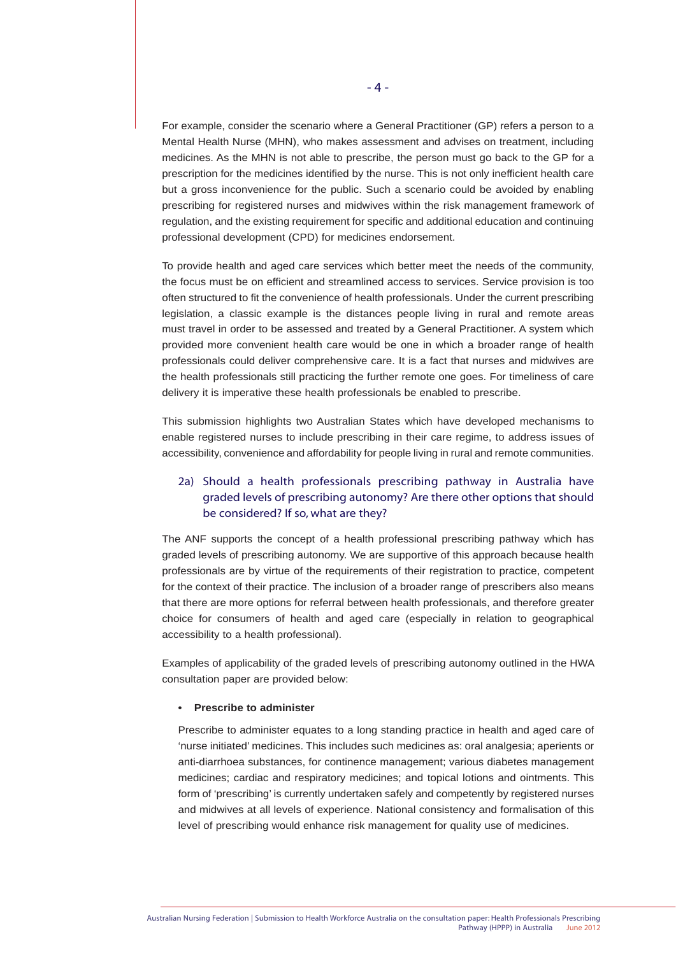For example, consider the scenario where a General Practitioner (GP) refers a person to a Mental Health Nurse (MHN), who makes assessment and advises on treatment, including medicines. As the MHN is not able to prescribe, the person must go back to the GP for a prescription for the medicines identified by the nurse. This is not only inefficient health care but a gross inconvenience for the public. Such a scenario could be avoided by enabling prescribing for registered nurses and midwives within the risk management framework of regulation, and the existing requirement for specific and additional education and continuing professional development (CPD) for medicines endorsement.

To provide health and aged care services which better meet the needs of the community, the focus must be on efficient and streamlined access to services. Service provision is too often structured to fit the convenience of health professionals. Under the current prescribing legislation, a classic example is the distances people living in rural and remote areas must travel in order to be assessed and treated by a General Practitioner. A system which provided more convenient health care would be one in which a broader range of health professionals could deliver comprehensive care. It is a fact that nurses and midwives are the health professionals still practicing the further remote one goes. For timeliness of care delivery it is imperative these health professionals be enabled to prescribe.

This submission highlights two Australian States which have developed mechanisms to enable registered nurses to include prescribing in their care regime, to address issues of accessibility, convenience and affordability for people living in rural and remote communities.

## 2a) Should a health professionals prescribing pathway in Australia have graded levels of prescribing autonomy? Are there other options that should be considered? If so, what are they?

The ANF supports the concept of a health professional prescribing pathway which has graded levels of prescribing autonomy. We are supportive of this approach because health professionals are by virtue of the requirements of their registration to practice, competent for the context of their practice. The inclusion of a broader range of prescribers also means that there are more options for referral between health professionals, and therefore greater choice for consumers of health and aged care (especially in relation to geographical accessibility to a health professional).

Examples of applicability of the graded levels of prescribing autonomy outlined in the HWA consultation paper are provided below:

#### **• Prescribe to administer**

Prescribe to administer equates to a long standing practice in health and aged care of 'nurse initiated' medicines. This includes such medicines as: oral analgesia; aperients or anti-diarrhoea substances, for continence management; various diabetes management medicines; cardiac and respiratory medicines; and topical lotions and ointments. This form of 'prescribing' is currently undertaken safely and competently by registered nurses and midwives at all levels of experience. National consistency and formalisation of this level of prescribing would enhance risk management for quality use of medicines.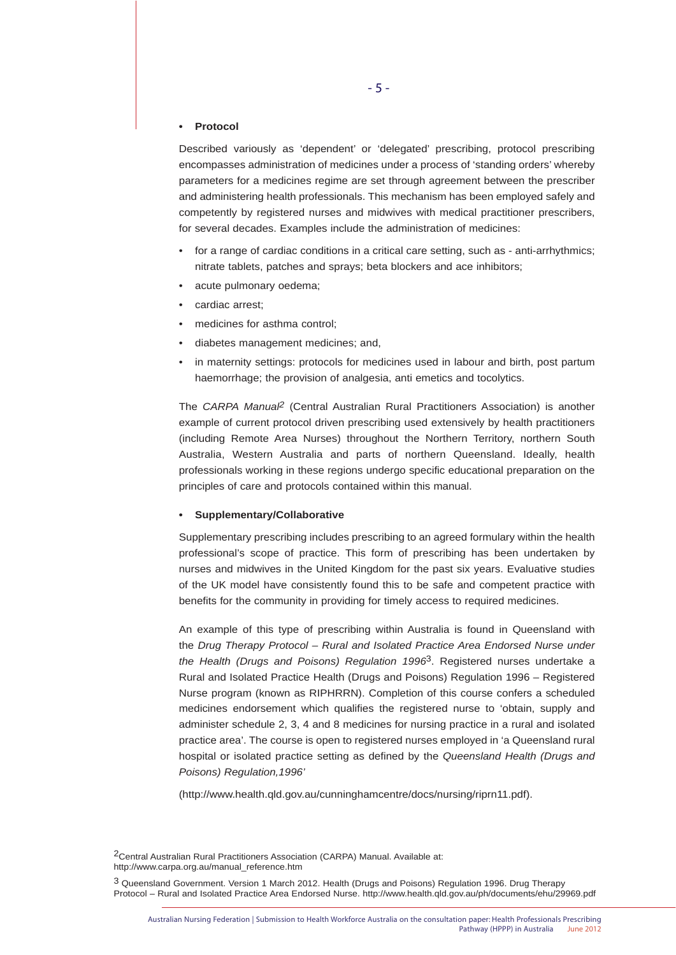#### **• Protocol**

Described variously as 'dependent' or 'delegated' prescribing, protocol prescribing encompasses administration of medicines under a process of 'standing orders' whereby parameters for a medicines regime are set through agreement between the prescriber and administering health professionals. This mechanism has been employed safely and competently by registered nurses and midwives with medical practitioner prescribers, for several decades. Examples include the administration of medicines:

- for a range of cardiac conditions in a critical care setting, such as anti-arrhythmics; nitrate tablets, patches and sprays; beta blockers and ace inhibitors;
- acute pulmonary oedema;
- cardiac arrest;
- medicines for asthma control;
- diabetes management medicines; and,
- in maternity settings: protocols for medicines used in labour and birth, post partum haemorrhage; the provision of analgesia, anti emetics and tocolytics.

The *CARPA Manual2* (Central Australian Rural Practitioners Association) is another example of current protocol driven prescribing used extensively by health practitioners (including Remote Area Nurses) throughout the Northern Territory, northern South Australia, Western Australia and parts of northern Queensland. Ideally, health professionals working in these regions undergo specific educational preparation on the principles of care and protocols contained within this manual.

#### **• Supplementary/Collaborative**

Supplementary prescribing includes prescribing to an agreed formulary within the health professional's scope of practice. This form of prescribing has been undertaken by nurses and midwives in the United Kingdom for the past six years. Evaluative studies of the UK model have consistently found this to be safe and competent practice with benefits for the community in providing for timely access to required medicines.

An example of this type of prescribing within Australia is found in Queensland with the *Drug Therapy Protocol – Rural and Isolated Practice Area Endorsed Nurse under the Health (Drugs and Poisons) Regulation 1996*3. Registered nurses undertake a Rural and Isolated Practice Health (Drugs and Poisons) Regulation 1996 – Registered Nurse program (known as RIPHRRN). Completion of this course confers a scheduled medicines endorsement which qualifies the registered nurse to 'obtain, supply and administer schedule 2, 3, 4 and 8 medicines for nursing practice in a rural and isolated practice area'. The course is open to registered nurses employed in 'a Queensland rural hospital or isolated practice setting as defined by the *Queensland Health (Drugs and Poisons) Regulation,1996'*

(http://www.health.qld.gov.au/cunninghamcentre/docs/nursing/riprn11.pdf).

2Central Australian Rural Practitioners Association (CARPA) Manual. Available at: http://www.carpa.org.au/manual\_reference.htm

3 Queensland Government. Version 1 March 2012. Health (Drugs and Poisons) Regulation 1996. Drug Therapy Protocol – Rural and Isolated Practice Area Endorsed Nurse. http://www.health.qld.gov.au/ph/documents/ehu/29969.pdf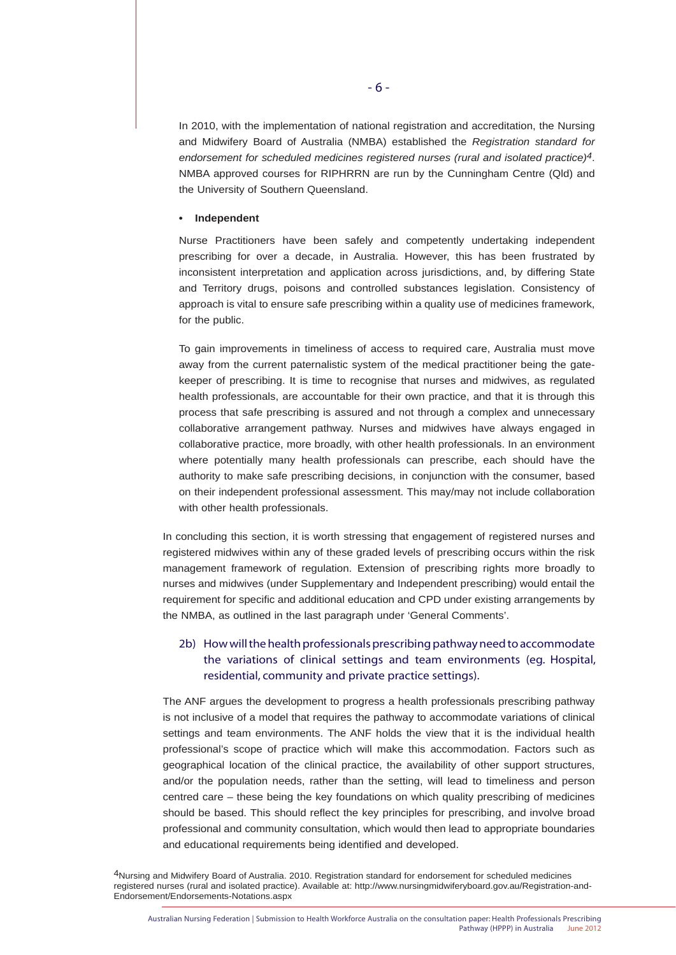In 2010, with the implementation of national registration and accreditation, the Nursing and Midwifery Board of Australia (NMBA) established the *Registration standard for endorsement for scheduled medicines registered nurses (rural and isolated practice)4*. NMBA approved courses for RIPHRRN are run by the Cunningham Centre (Qld) and the University of Southern Queensland.

#### **• Independent**

Nurse Practitioners have been safely and competently undertaking independent prescribing for over a decade, in Australia. However, this has been frustrated by inconsistent interpretation and application across jurisdictions, and, by differing State and Territory drugs, poisons and controlled substances legislation. Consistency of approach is vital to ensure safe prescribing within a quality use of medicines framework, for the public.

To gain improvements in timeliness of access to required care, Australia must move away from the current paternalistic system of the medical practitioner being the gatekeeper of prescribing. It is time to recognise that nurses and midwives, as regulated health professionals, are accountable for their own practice, and that it is through this process that safe prescribing is assured and not through a complex and unnecessary collaborative arrangement pathway. Nurses and midwives have always engaged in collaborative practice, more broadly, with other health professionals. In an environment where potentially many health professionals can prescribe, each should have the authority to make safe prescribing decisions, in conjunction with the consumer, based on their independent professional assessment. This may/may not include collaboration with other health professionals.

In concluding this section, it is worth stressing that engagement of registered nurses and registered midwives within any of these graded levels of prescribing occurs within the risk management framework of regulation. Extension of prescribing rights more broadly to nurses and midwives (under Supplementary and Independent prescribing) would entail the requirement for specific and additional education and CPD under existing arrangements by the NMBA, as outlined in the last paragraph under 'General Comments'.

## 2b) How will the health professionals prescribing pathway need to accommodate the variations of clinical settings and team environments (eg. Hospital, residential, community and private practice settings).

The ANF argues the development to progress a health professionals prescribing pathway is not inclusive of a model that requires the pathway to accommodate variations of clinical settings and team environments. The ANF holds the view that it is the individual health professional's scope of practice which will make this accommodation. Factors such as geographical location of the clinical practice, the availability of other support structures, and/or the population needs, rather than the setting, will lead to timeliness and person centred care – these being the key foundations on which quality prescribing of medicines should be based. This should reflect the key principles for prescribing, and involve broad professional and community consultation, which would then lead to appropriate boundaries and educational requirements being identified and developed.

4Nursing and Midwifery Board of Australia. 2010. Registration standard for endorsement for scheduled medicines registered nurses (rural and isolated practice). Available at: http://www.nursingmidwiferyboard.gov.au/Registration-and-Endorsement/Endorsements-Notations.aspx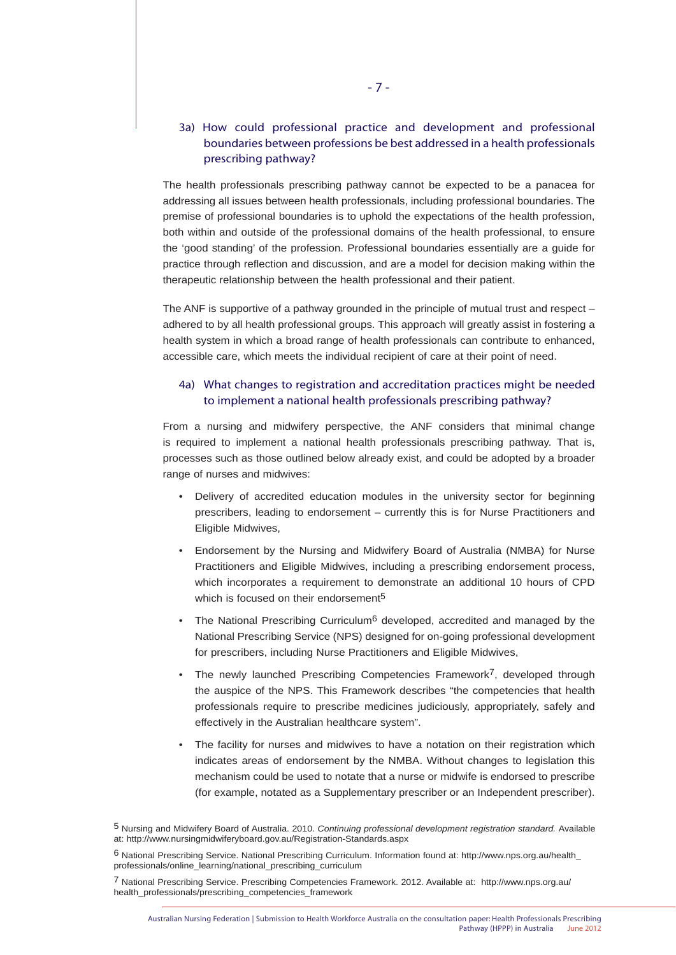## 3a) How could professional practice and development and professional boundaries between professions be best addressed in a health professionals prescribing pathway?

The health professionals prescribing pathway cannot be expected to be a panacea for addressing all issues between health professionals, including professional boundaries. The premise of professional boundaries is to uphold the expectations of the health profession, both within and outside of the professional domains of the health professional, to ensure the 'good standing' of the profession. Professional boundaries essentially are a guide for practice through reflection and discussion, and are a model for decision making within the therapeutic relationship between the health professional and their patient.

The ANF is supportive of a pathway grounded in the principle of mutual trust and respect – adhered to by all health professional groups. This approach will greatly assist in fostering a health system in which a broad range of health professionals can contribute to enhanced, accessible care, which meets the individual recipient of care at their point of need.

#### 4a) What changes to registration and accreditation practices might be needed to implement a national health professionals prescribing pathway?

From a nursing and midwifery perspective, the ANF considers that minimal change is required to implement a national health professionals prescribing pathway. That is, processes such as those outlined below already exist, and could be adopted by a broader range of nurses and midwives:

- Delivery of accredited education modules in the university sector for beginning prescribers, leading to endorsement – currently this is for Nurse Practitioners and Eligible Midwives,
- Endorsement by the Nursing and Midwifery Board of Australia (NMBA) for Nurse Practitioners and Eligible Midwives, including a prescribing endorsement process, which incorporates a requirement to demonstrate an additional 10 hours of CPD which is focused on their endorsement<sup>5</sup>
- The National Prescribing Curriculum<sup>6</sup> developed, accredited and managed by the National Prescribing Service (NPS) designed for on-going professional development for prescribers, including Nurse Practitioners and Eligible Midwives,
- The newly launched Prescribing Competencies Framework<sup>7</sup>, developed through the auspice of the NPS. This Framework describes "the competencies that health professionals require to prescribe medicines judiciously, appropriately, safely and effectively in the Australian healthcare system".
- The facility for nurses and midwives to have a notation on their registration which indicates areas of endorsement by the NMBA. Without changes to legislation this mechanism could be used to notate that a nurse or midwife is endorsed to prescribe (for example, notated as a Supplementary prescriber or an Independent prescriber).

<sup>5</sup> Nursing and Midwifery Board of Australia. 2010. *Continuing professional development registration standard.* Available at: http://www.nursingmidwiferyboard.gov.au/Registration-Standards.aspx

<sup>6</sup> National Prescribing Service. National Prescribing Curriculum. Information found at: http://www.nps.org.au/health\_ professionals/online\_learning/national\_prescribing\_curriculum

<sup>7</sup> National Prescribing Service. Prescribing Competencies Framework. 2012. Available at: http://www.nps.org.au/ health\_professionals/prescribing\_competencies\_framework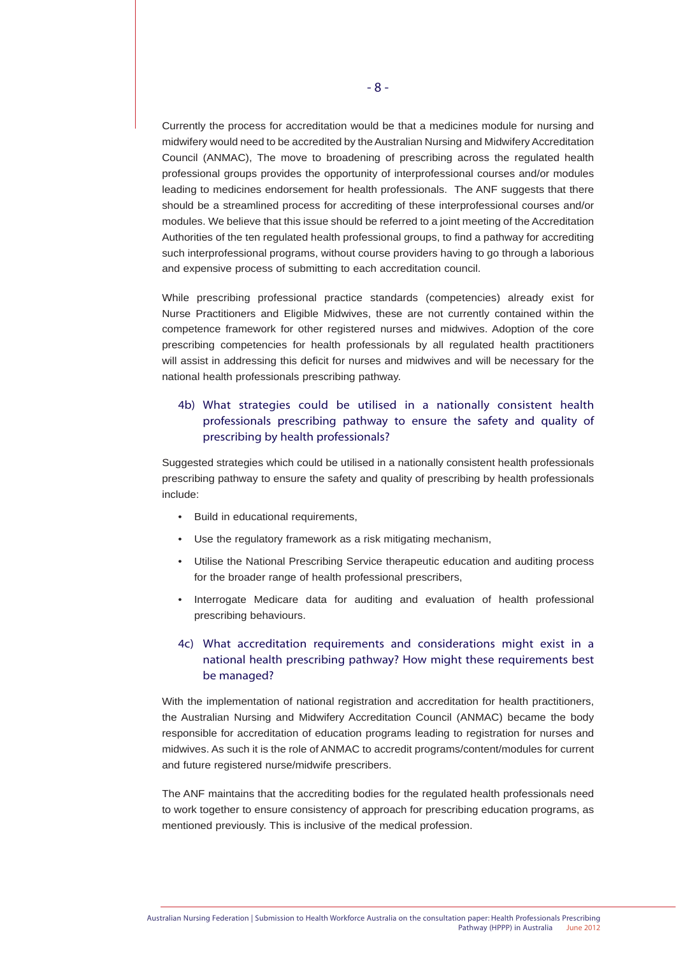Currently the process for accreditation would be that a medicines module for nursing and midwifery would need to be accredited by the Australian Nursing and Midwifery Accreditation Council (ANMAC), The move to broadening of prescribing across the regulated health professional groups provides the opportunity of interprofessional courses and/or modules leading to medicines endorsement for health professionals. The ANF suggests that there should be a streamlined process for accrediting of these interprofessional courses and/or modules. We believe that this issue should be referred to a joint meeting of the Accreditation Authorities of the ten regulated health professional groups, to find a pathway for accrediting such interprofessional programs, without course providers having to go through a laborious and expensive process of submitting to each accreditation council.

While prescribing professional practice standards (competencies) already exist for Nurse Practitioners and Eligible Midwives, these are not currently contained within the competence framework for other registered nurses and midwives. Adoption of the core prescribing competencies for health professionals by all regulated health practitioners will assist in addressing this deficit for nurses and midwives and will be necessary for the national health professionals prescribing pathway.

## 4b) What strategies could be utilised in a nationally consistent health professionals prescribing pathway to ensure the safety and quality of prescribing by health professionals?

Suggested strategies which could be utilised in a nationally consistent health professionals prescribing pathway to ensure the safety and quality of prescribing by health professionals include:

- Build in educational requirements,
- Use the regulatory framework as a risk mitigating mechanism,
- Utilise the National Prescribing Service therapeutic education and auditing process for the broader range of health professional prescribers,
- Interrogate Medicare data for auditing and evaluation of health professional prescribing behaviours.

## 4c) What accreditation requirements and considerations might exist in a national health prescribing pathway? How might these requirements best be managed?

With the implementation of national registration and accreditation for health practitioners, the Australian Nursing and Midwifery Accreditation Council (ANMAC) became the body responsible for accreditation of education programs leading to registration for nurses and midwives. As such it is the role of ANMAC to accredit programs/content/modules for current and future registered nurse/midwife prescribers.

The ANF maintains that the accrediting bodies for the regulated health professionals need to work together to ensure consistency of approach for prescribing education programs, as mentioned previously. This is inclusive of the medical profession.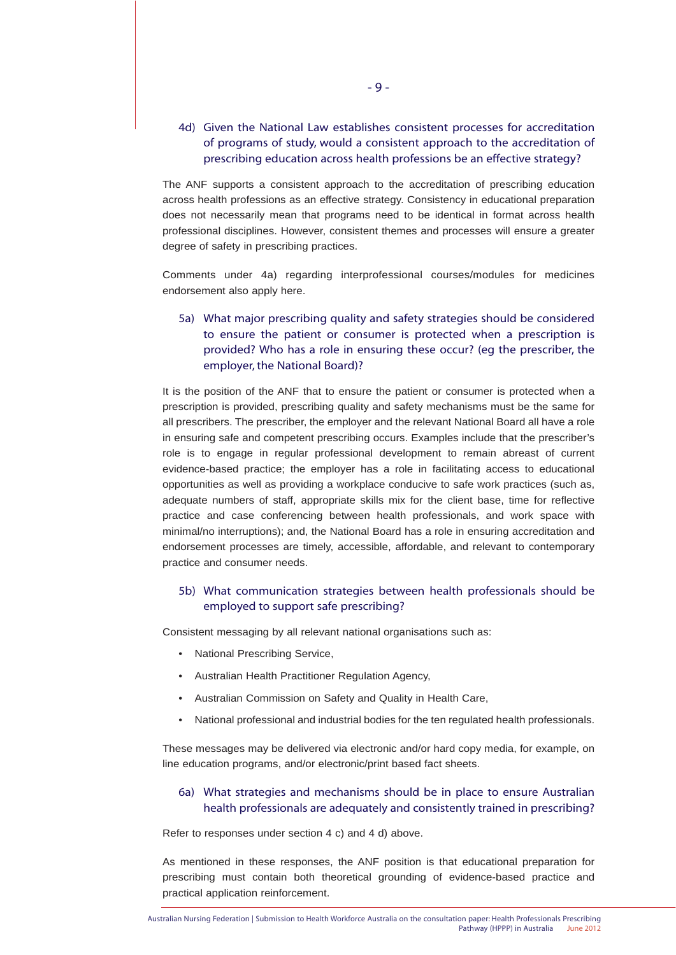## 4d) Given the National Law establishes consistent processes for accreditation of programs of study, would a consistent approach to the accreditation of prescribing education across health professions be an effective strategy?

The ANF supports a consistent approach to the accreditation of prescribing education across health professions as an effective strategy. Consistency in educational preparation does not necessarily mean that programs need to be identical in format across health professional disciplines. However, consistent themes and processes will ensure a greater degree of safety in prescribing practices.

Comments under 4a) regarding interprofessional courses/modules for medicines endorsement also apply here.

## 5a) What major prescribing quality and safety strategies should be considered to ensure the patient or consumer is protected when a prescription is provided? Who has a role in ensuring these occur? (eg the prescriber, the employer, the National Board)?

It is the position of the ANF that to ensure the patient or consumer is protected when a prescription is provided, prescribing quality and safety mechanisms must be the same for all prescribers. The prescriber, the employer and the relevant National Board all have a role in ensuring safe and competent prescribing occurs. Examples include that the prescriber's role is to engage in regular professional development to remain abreast of current evidence-based practice; the employer has a role in facilitating access to educational opportunities as well as providing a workplace conducive to safe work practices (such as, adequate numbers of staff, appropriate skills mix for the client base, time for reflective practice and case conferencing between health professionals, and work space with minimal/no interruptions); and, the National Board has a role in ensuring accreditation and endorsement processes are timely, accessible, affordable, and relevant to contemporary practice and consumer needs.

#### 5b) What communication strategies between health professionals should be employed to support safe prescribing?

Consistent messaging by all relevant national organisations such as:

- National Prescribing Service,
- Australian Health Practitioner Regulation Agency,
- Australian Commission on Safety and Quality in Health Care,
- National professional and industrial bodies for the ten regulated health professionals.

These messages may be delivered via electronic and/or hard copy media, for example, on line education programs, and/or electronic/print based fact sheets.

## 6a) What strategies and mechanisms should be in place to ensure Australian health professionals are adequately and consistently trained in prescribing?

Refer to responses under section 4 c) and 4 d) above.

As mentioned in these responses, the ANF position is that educational preparation for prescribing must contain both theoretical grounding of evidence-based practice and practical application reinforcement.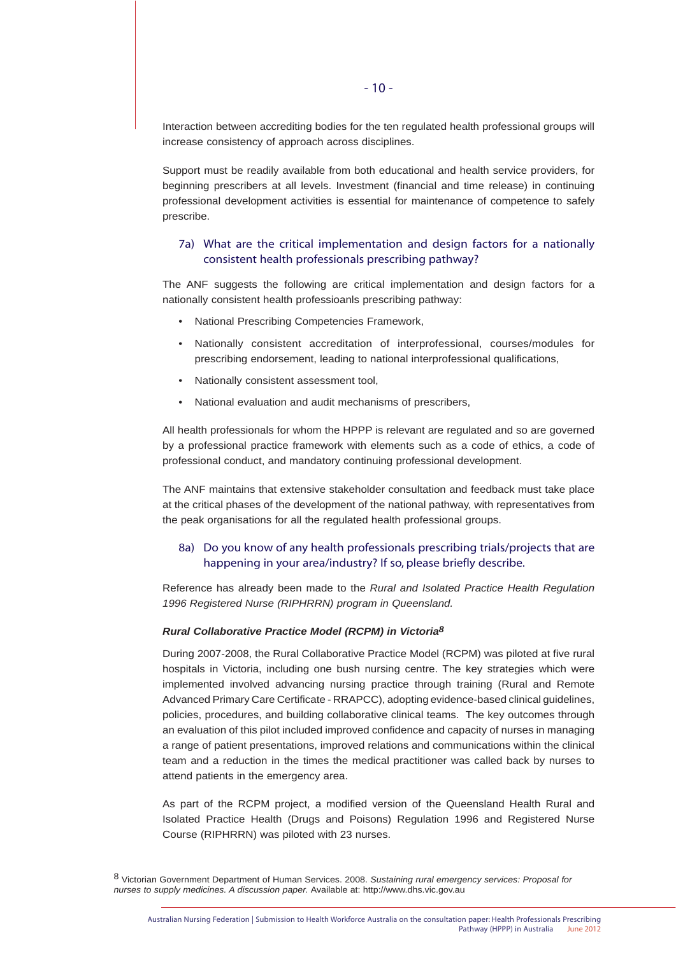Interaction between accrediting bodies for the ten regulated health professional groups will increase consistency of approach across disciplines.

Support must be readily available from both educational and health service providers, for beginning prescribers at all levels. Investment (financial and time release) in continuing professional development activities is essential for maintenance of competence to safely prescribe.

#### 7a) What are the critical implementation and design factors for a nationally consistent health professionals prescribing pathway?

The ANF suggests the following are critical implementation and design factors for a nationally consistent health professioanls prescribing pathway:

- National Prescribing Competencies Framework,
- Nationally consistent accreditation of interprofessional, courses/modules for prescribing endorsement, leading to national interprofessional qualifications,
- Nationally consistent assessment tool,
- National evaluation and audit mechanisms of prescribers,

All health professionals for whom the HPPP is relevant are regulated and so are governed by a professional practice framework with elements such as a code of ethics, a code of professional conduct, and mandatory continuing professional development.

The ANF maintains that extensive stakeholder consultation and feedback must take place at the critical phases of the development of the national pathway, with representatives from the peak organisations for all the regulated health professional groups.

#### 8a) Do you know of any health professionals prescribing trials/projects that are happening in your area/industry? If so, please briefly describe.

Reference has already been made to the *Rural and Isolated Practice Health Regulation 1996 Registered Nurse (RIPHRRN) program in Queensland.*

#### *Rural Collaborative Practice Model (RCPM) in Victoria8*

During 2007-2008, the Rural Collaborative Practice Model (RCPM) was piloted at five rural hospitals in Victoria, including one bush nursing centre. The key strategies which were implemented involved advancing nursing practice through training (Rural and Remote Advanced Primary Care Certificate - RRAPCC), adopting evidence-based clinical guidelines, policies, procedures, and building collaborative clinical teams. The key outcomes through an evaluation of this pilot included improved confidence and capacity of nurses in managing a range of patient presentations, improved relations and communications within the clinical team and a reduction in the times the medical practitioner was called back by nurses to attend patients in the emergency area.

As part of the RCPM project, a modified version of the Queensland Health Rural and Isolated Practice Health (Drugs and Poisons) Regulation 1996 and Registered Nurse Course (RIPHRRN) was piloted with 23 nurses.

8 Victorian Government Department of Human Services. 2008. *Sustaining rural emergency services: Proposal for nurses to supply medicines. A discussion paper.* Available at: http://www.dhs.vic.gov.au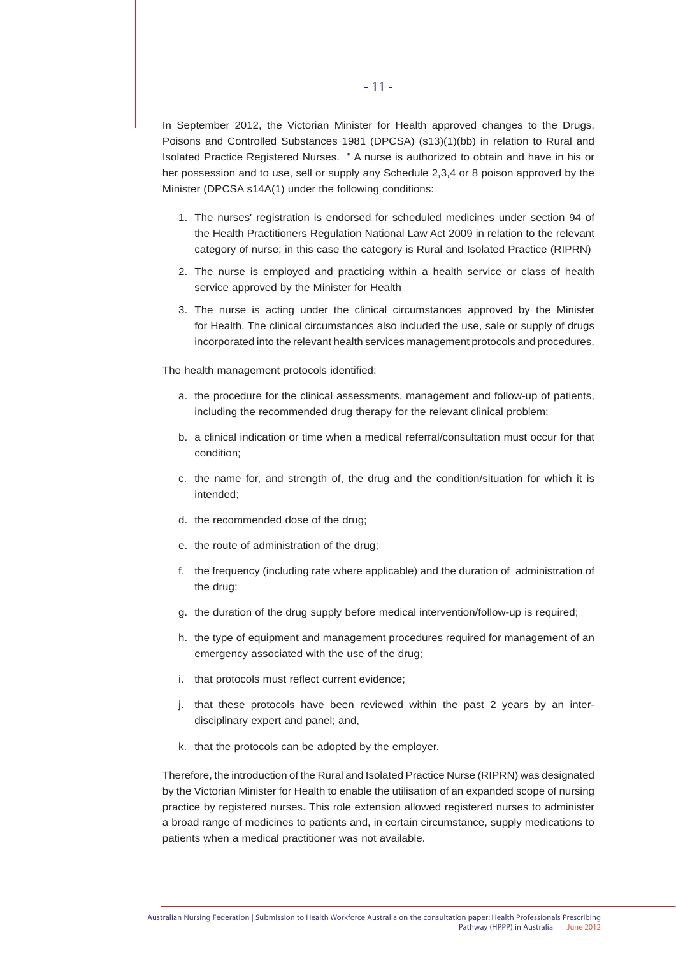In September 2012, the Victorian Minister for Health approved changes to the Drugs, Poisons and Controlled Substances 1981 (DPCSA) (s13)(1)(bb) in relation to Rural and Isolated Practice Registered Nurses. " A nurse is authorized to obtain and have in his or her possession and to use, sell or supply any Schedule 2,3,4 or 8 poison approved by the Minister (DPCSA s14A(1) under the following conditions:

- 1. The nurses' registration is endorsed for scheduled medicines under section 94 of the Health Practitioners Regulation National Law Act 2009 in relation to the relevant category of nurse; in this case the category is Rural and Isolated Practice (RIPRN)
- 2. The nurse is employed and practicing within a health service or class of health service approved by the Minister for Health
- 3. The nurse is acting under the clinical circumstances approved by the Minister for Health. The clinical circumstances also included the use, sale or supply of drugs incorporated into the relevant health services management protocols and procedures.

The health management protocols identified:

- a. the procedure for the clinical assessments, management and follow-up of patients, including the recommended drug therapy for the relevant clinical problem;
- b. a clinical indication or time when a medical referral/consultation must occur for that condition;
- c. the name for, and strength of, the drug and the condition/situation for which it is intended;
- d. the recommended dose of the drug;
- e. the route of administration of the drug;
- f. the frequency (including rate where applicable) and the duration of administration of the drug;
- g. the duration of the drug supply before medical intervention/follow-up is required;
- h. the type of equipment and management procedures required for management of an emergency associated with the use of the drug;
- i. that protocols must reflect current evidence;
- j. that these protocols have been reviewed within the past 2 years by an inter disciplinary expert and panel; and,
- k. that the protocols can be adopted by the employer.

Therefore, the introduction of the Rural and Isolated Practice Nurse (RIPRN) was designated by the Victorian Minister for Health to enable the utilisation of an expanded scope of nursing practice by registered nurses. This role extension allowed registered nurses to administer a broad range of medicines to patients and, in certain circumstance, supply medications to patients when a medical practitioner was not available.